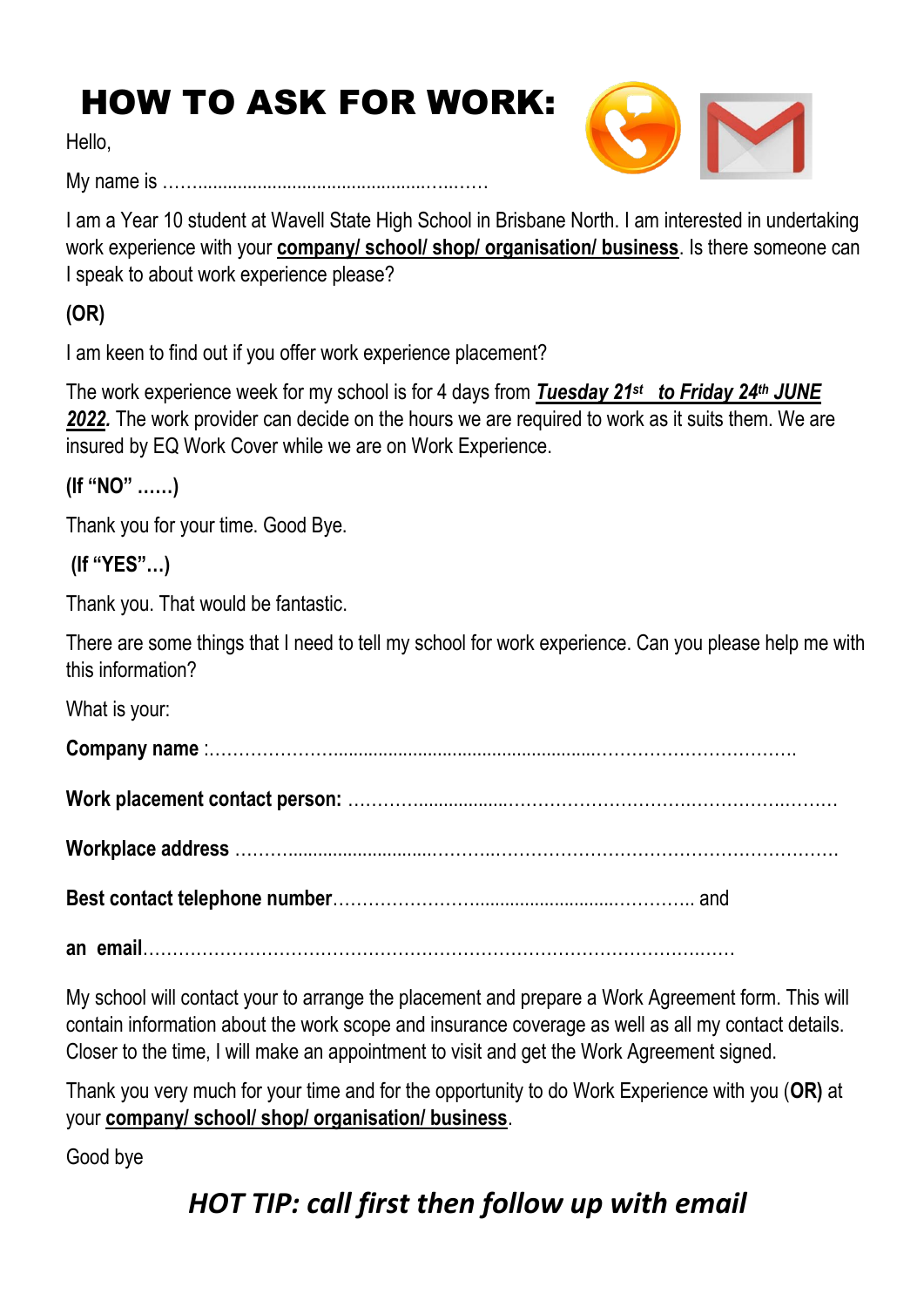## HOW TO ASK FOR WORK:

Hello,

My name is ……..............................................…..……



I am a Year 10 student at Wavell State High School in Brisbane North. I am interested in undertaking work experience with your **company/ school/ shop/ organisation/ business**. Is there someone can I speak to about work experience please?

**(OR)**

I am keen to find out if you offer work experience placement?

The work experience week for my school is for 4 days from *Tuesday 21st to Friday 24 th JUNE 2022.* The work provider can decide on the hours we are required to work as it suits them. We are insured by EQ Work Cover while we are on Work Experience.

**(If "NO" ……)**

Thank you for your time. Good Bye.

**(If "YES"…)**

Thank you. That would be fantastic.

There are some things that I need to tell my school for work experience. Can you please help me with this information?

What is your:

**Company name** :………………….....................................................…………………………….

**Work placement contact person:** …………..................………………………….…………….………

**Workplace address** ……….............................………..………………………………………………….

**Best contact telephone number**……………………............................………….. and

**an email**………………………………………………………………………………….……

My school will contact your to arrange the placement and prepare a Work Agreement form. This will contain information about the work scope and insurance coverage as well as all my contact details. Closer to the time, I will make an appointment to visit and get the Work Agreement signed.

Thank you very much for your time and for the opportunity to do Work Experience with you (**OR)** at your **company/ school/ shop/ organisation/ business**.

Good bye

## *HOT TIP: call first then follow up with email*